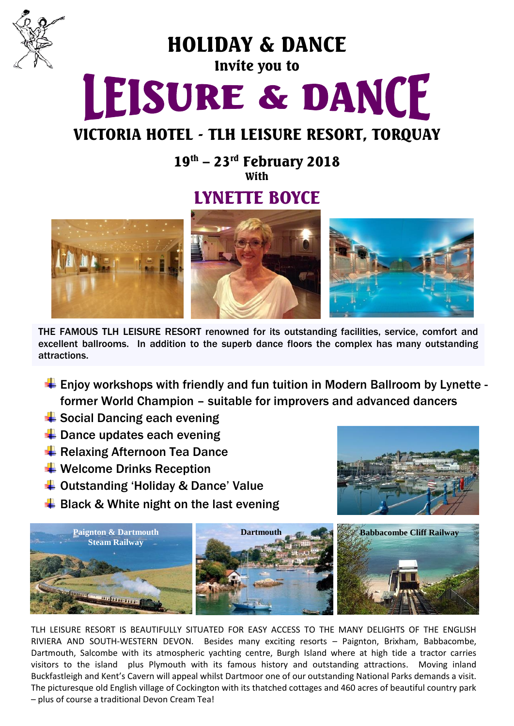

HOLIDAY & DANCE

### Invite you to

# LEISURE & DANCE

## VICTORIA HOTEL - TLH LEISURE RESORT, TORQUAY

 $19^{\text{th}}$  – 23<sup>rd</sup> February 2018 With

## LYNETTE BOYCE



THE FAMOUS TLH LEISURE RESORT renowned for its outstanding facilities, service, comfort and excellent ballrooms. In addition to the superb dance floors the complex has many outstanding attractions.

- ↓ Enjoy workshops with friendly and fun tuition in Modern Ballroom by Lynette former World Champion – suitable for improvers and advanced dancers
- $\triangleq$  Social Dancing each evening
- $\ddot$  Dance updates each evening
- **E** Relaxing Afternoon Tea Dance
- $\ddot$  Welcome Drinks Reception
- $\overline{\textbf{I}}$  Outstanding 'Holiday & Dance' Value
- $\frac{1}{2}$  Black & White night on the last evening





TLH LEISURE RESORT IS BEAUTIFULLY SITUATED FOR EASY ACCESS TO THE MANY DELIGHTS OF THE ENGLISH RIVIERA AND SOUTH-WESTERN DEVON. Besides many exciting resorts – Paignton, Brixham, Babbacombe, Dartmouth, Salcombe with its atmospheric yachting centre, Burgh Island where at high tide a tractor carries visitors to the island plus Plymouth with its famous history and outstanding attractions. Moving inland Buckfastleigh and Kent's Cavern will appeal whilst Dartmoor one of our outstanding National Parks demands a visit. The picturesque old English village of Cockington with its thatched cottages and 460 acres of beautiful country park – plus of course a traditional Devon Cream Tea!